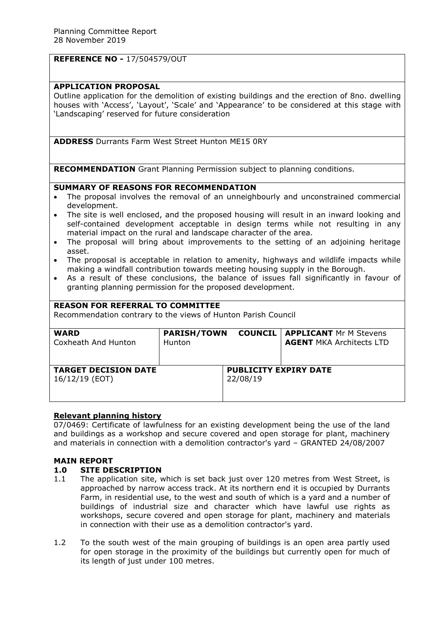### **REFERENCE NO -** 17/504579/OUT

## **APPLICATION PROPOSAL**

Outline application for the demolition of existing buildings and the erection of 8no. dwelling houses with 'Access', 'Layout', 'Scale' and 'Appearance' to be considered at this stage with 'Landscaping' reserved for future consideration

**ADDRESS** Durrants Farm West Street Hunton ME15 0RY

**RECOMMENDATION** Grant Planning Permission subject to planning conditions.

## **SUMMARY OF REASONS FOR RECOMMENDATION**

- The proposal involves the removal of an unneighbourly and unconstrained commercial development.
- The site is well enclosed, and the proposed housing will result in an inward looking and self-contained development acceptable in design terms while not resulting in any material impact on the rural and landscape character of the area.
- The proposal will bring about improvements to the setting of an adjoining heritage asset.
- The proposal is acceptable in relation to amenity, highways and wildlife impacts while making a windfall contribution towards meeting housing supply in the Borough.
- As a result of these conclusions, the balance of issues fall significantly in favour of granting planning permission for the proposed development.

### **REASON FOR REFERRAL TO COMMITTEE**

Recommendation contrary to the views of Hunton Parish Council

| <b>WARD</b>                                   | <b>PARISH/TOWN</b> |                                          | <b>COUNCIL   APPLICANT Mr M Stevens</b> |
|-----------------------------------------------|--------------------|------------------------------------------|-----------------------------------------|
| Coxheath And Hunton                           | Hunton             |                                          | <b>AGENT MKA Architects LTD</b>         |
| <b>TARGET DECISION DATE</b><br>16/12/19 (EOT) |                    | <b>PUBLICITY EXPIRY DATE</b><br>22/08/19 |                                         |

### **Relevant planning history**

07/0469: Certificate of lawfulness for an existing development being the use of the land and buildings as a workshop and secure covered and open storage for plant, machinery and materials in connection with a demolition contractor's yard – GRANTED 24/08/2007

### **MAIN REPORT**

### **1.0 SITE DESCRIPTION**

- 1.1 The application site, which is set back just over 120 metres from West Street, is approached by narrow access track. At its northern end it is occupied by Durrants Farm, in residential use, to the west and south of which is a yard and a number of buildings of industrial size and character which have lawful use rights as workshops, secure covered and open storage for plant, machinery and materials in connection with their use as a demolition contractor's yard.
- 1.2 To the south west of the main grouping of buildings is an open area partly used for open storage in the proximity of the buildings but currently open for much of its length of just under 100 metres.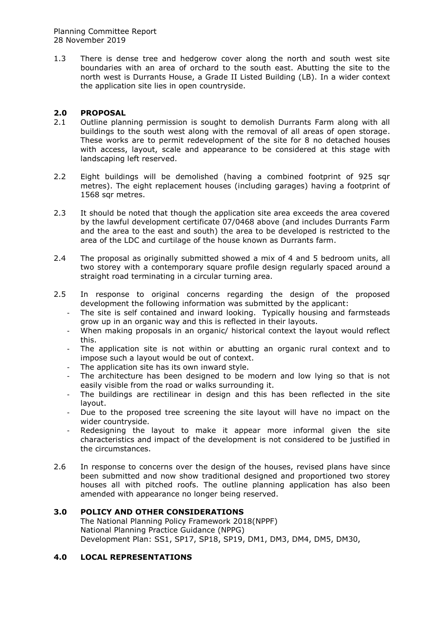1.3 There is dense tree and hedgerow cover along the north and south west site boundaries with an area of orchard to the south east. Abutting the site to the north west is Durrants House, a Grade II Listed Building (LB). In a wider context the application site lies in open countryside.

# **2.0 PROPOSAL**

- 2.1 Outline planning permission is sought to demolish Durrants Farm along with all buildings to the south west along with the removal of all areas of open storage. These works are to permit redevelopment of the site for 8 no detached houses with access, layout, scale and appearance to be considered at this stage with landscaping left reserved.
- 2.2 Eight buildings will be demolished (having a combined footprint of 925 sqr metres). The eight replacement houses (including garages) having a footprint of 1568 sqr metres.
- 2.3 It should be noted that though the application site area exceeds the area covered by the lawful development certificate 07/0468 above (and includes Durrants Farm and the area to the east and south) the area to be developed is restricted to the area of the LDC and curtilage of the house known as Durrants farm.
- 2.4 The proposal as originally submitted showed a mix of 4 and 5 bedroom units, all two storey with a contemporary square profile design regularly spaced around a straight road terminating in a circular turning area.
- 2.5 In response to original concerns regarding the design of the proposed development the following information was submitted by the applicant:
	- The site is self contained and inward looking. Typically housing and farmsteads grow up in an organic way and this is reflected in their layouts.
	- When making proposals in an organic/ historical context the layout would reflect this.
	- The application site is not within or abutting an organic rural context and to impose such a layout would be out of context.
	- The application site has its own inward style.
	- The architecture has been designed to be modern and low lying so that is not easily visible from the road or walks surrounding it.
	- The buildings are rectilinear in design and this has been reflected in the site layout.
	- Due to the proposed tree screening the site layout will have no impact on the wider countryside.
	- Redesigning the layout to make it appear more informal given the site characteristics and impact of the development is not considered to be justified in the circumstances.
- 2.6 In response to concerns over the design of the houses, revised plans have since been submitted and now show traditional designed and proportioned two storey houses all with pitched roofs. The outline planning application has also been amended with appearance no longer being reserved.

## **3.0 POLICY AND OTHER CONSIDERATIONS**

The National Planning Policy Framework 2018(NPPF) National Planning Practice Guidance (NPPG) Development Plan: SS1, SP17, SP18, SP19, DM1, DM3, DM4, DM5, DM30,

## **4.0 LOCAL REPRESENTATIONS**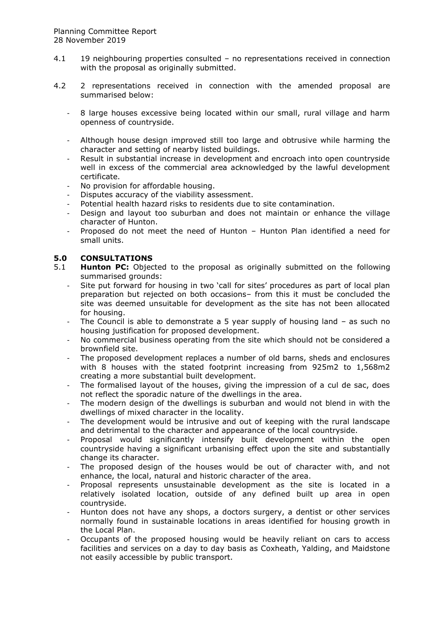- 4.1 19 neighbouring properties consulted no representations received in connection with the proposal as originally submitted.
- 4.2 2 representations received in connection with the amended proposal are summarised below:
	- 8 large houses excessive being located within our small, rural village and harm openness of countryside.
	- Although house design improved still too large and obtrusive while harming the character and setting of nearby listed buildings.
	- Result in substantial increase in development and encroach into open countryside well in excess of the commercial area acknowledged by the lawful development certificate.
	- No provision for affordable housing.
	- Disputes accuracy of the viability assessment.
	- Potential health hazard risks to residents due to site contamination.
	- Design and layout too suburban and does not maintain or enhance the village character of Hunton.
	- Proposed do not meet the need of Hunton Hunton Plan identified a need for small units.

### **5.0 CONSULTATIONS**

- 5.1 **Hunton PC:** Objected to the proposal as originally submitted on the following summarised grounds:
	- Site put forward for housing in two 'call for sites' procedures as part of local plan preparation but rejected on both occasions– from this it must be concluded the site was deemed unsuitable for development as the site has not been allocated for housing.
	- The Council is able to demonstrate a 5 year supply of housing land  $-$  as such no housing justification for proposed development.
	- No commercial business operating from the site which should not be considered a brownfield site.
	- The proposed development replaces a number of old barns, sheds and enclosures with 8 houses with the stated footprint increasing from 925m2 to 1,568m2 creating a more substantial built development.
	- The formalised layout of the houses, giving the impression of a cul de sac, does not reflect the sporadic nature of the dwellings in the area.
	- The modern design of the dwellings is suburban and would not blend in with the dwellings of mixed character in the locality.
	- The development would be intrusive and out of keeping with the rural landscape and detrimental to the character and appearance of the local countryside.
	- Proposal would significantly intensify built development within the open countryside having a significant urbanising effect upon the site and substantially change its character.
	- The proposed design of the houses would be out of character with, and not enhance, the local, natural and historic character of the area.
	- Proposal represents unsustainable development as the site is located in a relatively isolated location, outside of any defined built up area in open countryside.
	- Hunton does not have any shops, a doctors surgery, a dentist or other services normally found in sustainable locations in areas identified for housing growth in the Local Plan.
	- Occupants of the proposed housing would be heavily reliant on cars to access facilities and services on a day to day basis as Coxheath, Yalding, and Maidstone not easily accessible by public transport.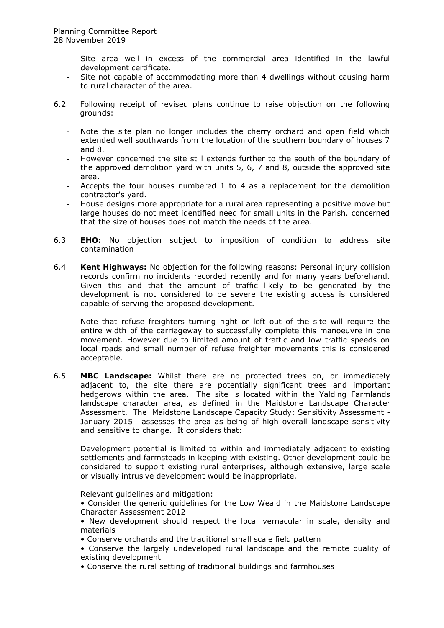- Site area well in excess of the commercial area identified in the lawful development certificate.
- Site not capable of accommodating more than 4 dwellings without causing harm to rural character of the area.
- 6.2 Following receipt of revised plans continue to raise objection on the following grounds:
	- Note the site plan no longer includes the cherry orchard and open field which extended well southwards from the location of the southern boundary of houses 7 and 8.
	- However concerned the site still extends further to the south of the boundary of the approved demolition yard with units 5, 6, 7 and 8, outside the approved site area.
	- Accepts the four houses numbered 1 to 4 as a replacement for the demolition contractor's yard.
	- House designs more appropriate for a rural area representing a positive move but large houses do not meet identified need for small units in the Parish. concerned that the size of houses does not match the needs of the area.
- 6.3 **EHO:** No objection subject to imposition of condition to address site contamination
- 6.4 **Kent Highways:** No objection for the following reasons: Personal injury collision records confirm no incidents recorded recently and for many years beforehand. Given this and that the amount of traffic likely to be generated by the development is not considered to be severe the existing access is considered capable of serving the proposed development.

Note that refuse freighters turning right or left out of the site will require the entire width of the carriageway to successfully complete this manoeuvre in one movement. However due to limited amount of traffic and low traffic speeds on local roads and small number of refuse freighter movements this is considered acceptable.

6.5 **MBC Landscape:** Whilst there are no protected trees on, or immediately adjacent to, the site there are potentially significant trees and important hedgerows within the area. The site is located within the Yalding Farmlands landscape character area, as defined in the Maidstone Landscape Character Assessment. The Maidstone Landscape Capacity Study: Sensitivity Assessment - January 2015 assesses the area as being of high overall landscape sensitivity and sensitive to change. It considers that:

Development potential is limited to within and immediately adjacent to existing settlements and farmsteads in keeping with existing. Other development could be considered to support existing rural enterprises, although extensive, large scale or visually intrusive development would be inappropriate.

Relevant guidelines and mitigation:

• Consider the generic guidelines for the Low Weald in the Maidstone Landscape Character Assessment 2012

• New development should respect the local vernacular in scale, density and materials

- Conserve orchards and the traditional small scale field pattern
- Conserve the largely undeveloped rural landscape and the remote quality of existing development
- Conserve the rural setting of traditional buildings and farmhouses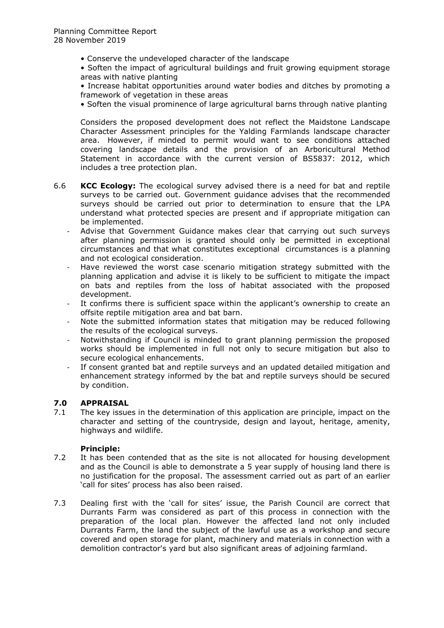- Conserve the undeveloped character of the landscape
- Soften the impact of agricultural buildings and fruit growing equipment storage areas with native planting
- Increase habitat opportunities around water bodies and ditches by promoting a framework of vegetation in these areas
- Soften the visual prominence of large agricultural barns through native planting

Considers the proposed development does not reflect the Maidstone Landscape Character Assessment principles for the Yalding Farmlands landscape character area. However, if minded to permit would want to see conditions attached covering landscape details and the provision of an Arboricultural Method Statement in accordance with the current version of BS5837: 2012, which includes a tree protection plan.

- 6.6 **KCC Ecology:** The ecological survey advised there is a need for bat and reptile surveys to be carried out. Government guidance advises that the recommended surveys should be carried out prior to determination to ensure that the LPA understand what protected species are present and if appropriate mitigation can be implemented.
	- Advise that Government Guidance makes clear that carrying out such surveys after planning permission is granted should only be permitted in exceptional circumstances and that what constitutes exceptional circumstances is a planning and not ecological consideration.
	- Have reviewed the worst case scenario mitigation strategy submitted with the planning application and advise it is likely to be sufficient to mitigate the impact on bats and reptiles from the loss of habitat associated with the proposed development.
	- It confirms there is sufficient space within the applicant's ownership to create an offsite reptile mitigation area and bat barn.
	- Note the submitted information states that mitigation may be reduced following the results of the ecological surveys.
	- Notwithstanding if Council is minded to grant planning permission the proposed works should be implemented in full not only to secure mitigation but also to secure ecological enhancements.
	- If consent granted bat and reptile surveys and an updated detailed mitigation and enhancement strategy informed by the bat and reptile surveys should be secured by condition.

## **7.0 APPRAISAL**

7.1 The key issues in the determination of this application are principle, impact on the character and setting of the countryside, design and layout, heritage, amenity, highways and wildlife.

### **Principle:**

- 7.2 It has been contended that as the site is not allocated for housing development and as the Council is able to demonstrate a 5 year supply of housing land there is no justification for the proposal. The assessment carried out as part of an earlier 'call for sites' process has also been raised.
- 7.3 Dealing first with the 'call for sites' issue, the Parish Council are correct that Durrants Farm was considered as part of this process in connection with the preparation of the local plan. However the affected land not only included Durrants Farm, the land the subject of the lawful use as a workshop and secure covered and open storage for plant, machinery and materials in connection with a demolition contractor's yard but also significant areas of adjoining farmland.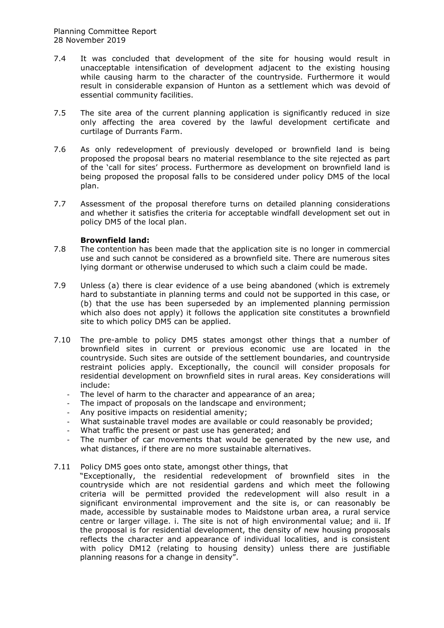- 7.4 It was concluded that development of the site for housing would result in unacceptable intensification of development adjacent to the existing housing while causing harm to the character of the countryside. Furthermore it would result in considerable expansion of Hunton as a settlement which was devoid of essential community facilities.
- 7.5 The site area of the current planning application is significantly reduced in size only affecting the area covered by the lawful development certificate and curtilage of Durrants Farm.
- 7.6 As only redevelopment of previously developed or brownfield land is being proposed the proposal bears no material resemblance to the site rejected as part of the 'call for sites' process. Furthermore as development on brownfield land is being proposed the proposal falls to be considered under policy DM5 of the local plan.
- 7.7 Assessment of the proposal therefore turns on detailed planning considerations and whether it satisfies the criteria for acceptable windfall development set out in policy DM5 of the local plan.

### **Brownfield land:**

- 7.8 The contention has been made that the application site is no longer in commercial use and such cannot be considered as a brownfield site. There are numerous sites lying dormant or otherwise underused to which such a claim could be made.
- 7.9 Unless (a) there is clear evidence of a use being abandoned (which is extremely hard to substantiate in planning terms and could not be supported in this case, or (b) that the use has been superseded by an implemented planning permission which also does not apply) it follows the application site constitutes a brownfield site to which policy DM5 can be applied.
- 7.10 The pre-amble to policy DM5 states amongst other things that a number of brownfield sites in current or previous economic use are located in the countryside. Such sites are outside of the settlement boundaries, and countryside restraint policies apply. Exceptionally, the council will consider proposals for residential development on brownfield sites in rural areas. Key considerations will include:
	- The level of harm to the character and appearance of an area;
	- The impact of proposals on the landscape and environment;
	- Any positive impacts on residential amenity;
	- What sustainable travel modes are available or could reasonably be provided;
	- What traffic the present or past use has generated; and
	- The number of car movements that would be generated by the new use, and what distances, if there are no more sustainable alternatives.
- 7.11 Policy DM5 goes onto state, amongst other things, that "Exceptionally, the residential redevelopment of brownfield sites in the countryside which are not residential gardens and which meet the following criteria will be permitted provided the redevelopment will also result in a significant environmental improvement and the site is, or can reasonably be made, accessible by sustainable modes to Maidstone urban area, a rural service centre or larger village. i. The site is not of high environmental value; and ii. If the proposal is for residential development, the density of new housing proposals reflects the character and appearance of individual localities, and is consistent with policy DM12 (relating to housing density) unless there are justifiable planning reasons for a change in density".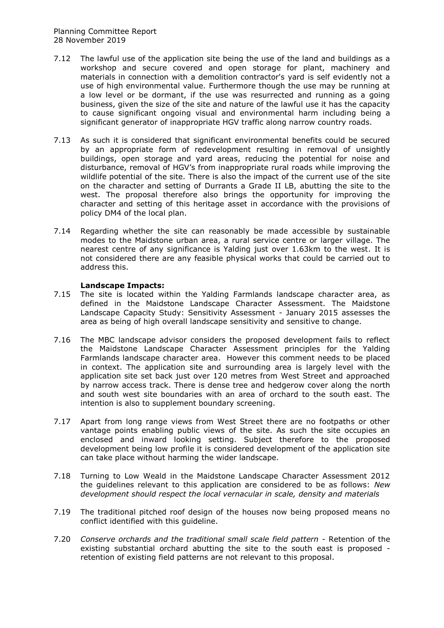- 7.12 The lawful use of the application site being the use of the land and buildings as a workshop and secure covered and open storage for plant, machinery and materials in connection with a demolition contractor's yard is self evidently not a use of high environmental value. Furthermore though the use may be running at a low level or be dormant, if the use was resurrected and running as a going business, given the size of the site and nature of the lawful use it has the capacity to cause significant ongoing visual and environmental harm including being a significant generator of inappropriate HGV traffic along narrow country roads.
- 7.13 As such it is considered that significant environmental benefits could be secured by an appropriate form of redevelopment resulting in removal of unsightly buildings, open storage and yard areas, reducing the potential for noise and disturbance, removal of HGV's from inappropriate rural roads while improving the wildlife potential of the site. There is also the impact of the current use of the site on the character and setting of Durrants a Grade II LB, abutting the site to the west. The proposal therefore also brings the opportunity for improving the character and setting of this heritage asset in accordance with the provisions of policy DM4 of the local plan.
- 7.14 Regarding whether the site can reasonably be made accessible by sustainable modes to the Maidstone urban area, a rural service centre or larger village. The nearest centre of any significance is Yalding just over 1.63km to the west. It is not considered there are any feasible physical works that could be carried out to address this.

### **Landscape Impacts:**

- 7.15 The site is located within the Yalding Farmlands landscape character area, as defined in the Maidstone Landscape Character Assessment. The Maidstone Landscape Capacity Study: Sensitivity Assessment - January 2015 assesses the area as being of high overall landscape sensitivity and sensitive to change.
- 7.16 The MBC landscape advisor considers the proposed development fails to reflect the Maidstone Landscape Character Assessment principles for the Yalding Farmlands landscape character area. However this comment needs to be placed in context. The application site and surrounding area is largely level with the application site set back just over 120 metres from West Street and approached by narrow access track. There is dense tree and hedgerow cover along the north and south west site boundaries with an area of orchard to the south east. The intention is also to supplement boundary screening.
- 7.17 Apart from long range views from West Street there are no footpaths or other vantage points enabling public views of the site. As such the site occupies an enclosed and inward looking setting. Subject therefore to the proposed development being low profile it is considered development of the application site can take place without harming the wider landscape.
- 7.18 Turning to Low Weald in the Maidstone Landscape Character Assessment 2012 the guidelines relevant to this application are considered to be as follows: *New development should respect the local vernacular in scale, density and materials*
- 7.19 The traditional pitched roof design of the houses now being proposed means no conflict identified with this guideline.
- 7.20 *Conserve orchards and the traditional small scale field pattern* Retention of the existing substantial orchard abutting the site to the south east is proposed retention of existing field patterns are not relevant to this proposal.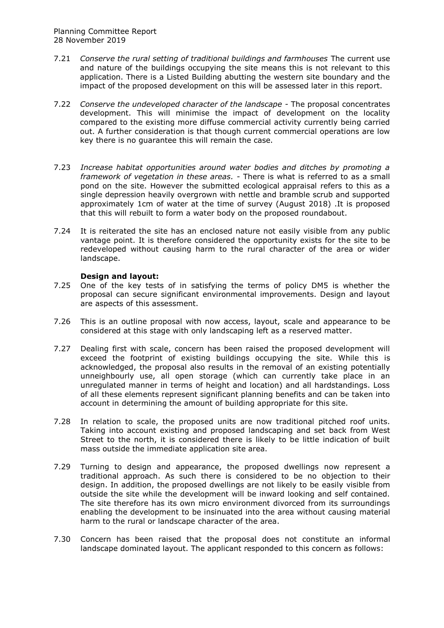- 7.21 *Conserve the rural setting of traditional buildings and farmhouses* The current use and nature of the buildings occupying the site means this is not relevant to this application. There is a Listed Building abutting the western site boundary and the impact of the proposed development on this will be assessed later in this report.
- 7.22 *Conserve the undeveloped character of the landscape -* The proposal concentrates development. This will minimise the impact of development on the locality compared to the existing more diffuse commercial activity currently being carried out. A further consideration is that though current commercial operations are low key there is no guarantee this will remain the case.
- 7.23 *Increase habitat opportunities around water bodies and ditches by promoting a framework of vegetation in these areas. -* There is what is referred to as a small pond on the site. However the submitted ecological appraisal refers to this as a single depression heavily overgrown with nettle and bramble scrub and supported approximately 1cm of water at the time of survey (August 2018) .It is proposed that this will rebuilt to form a water body on the proposed roundabout.
- 7.24 It is reiterated the site has an enclosed nature not easily visible from any public vantage point. It is therefore considered the opportunity exists for the site to be redeveloped without causing harm to the rural character of the area or wider landscape.

### **Design and layout:**

- 7.25 One of the key tests of in satisfying the terms of policy DM5 is whether the proposal can secure significant environmental improvements. Design and layout are aspects of this assessment.
- 7.26 This is an outline proposal with now access, layout, scale and appearance to be considered at this stage with only landscaping left as a reserved matter.
- 7.27 Dealing first with scale, concern has been raised the proposed development will exceed the footprint of existing buildings occupying the site. While this is acknowledged, the proposal also results in the removal of an existing potentially unneighbourly use, all open storage (which can currently take place in an unregulated manner in terms of height and location) and all hardstandings. Loss of all these elements represent significant planning benefits and can be taken into account in determining the amount of building appropriate for this site.
- 7.28 In relation to scale, the proposed units are now traditional pitched roof units. Taking into account existing and proposed landscaping and set back from West Street to the north, it is considered there is likely to be little indication of built mass outside the immediate application site area.
- 7.29 Turning to design and appearance, the proposed dwellings now represent a traditional approach. As such there is considered to be no objection to their design. In addition, the proposed dwellings are not likely to be easily visible from outside the site while the development will be inward looking and self contained. The site therefore has its own micro environment divorced from its surroundings enabling the development to be insinuated into the area without causing material harm to the rural or landscape character of the area.
- 7.30 Concern has been raised that the proposal does not constitute an informal landscape dominated layout. The applicant responded to this concern as follows: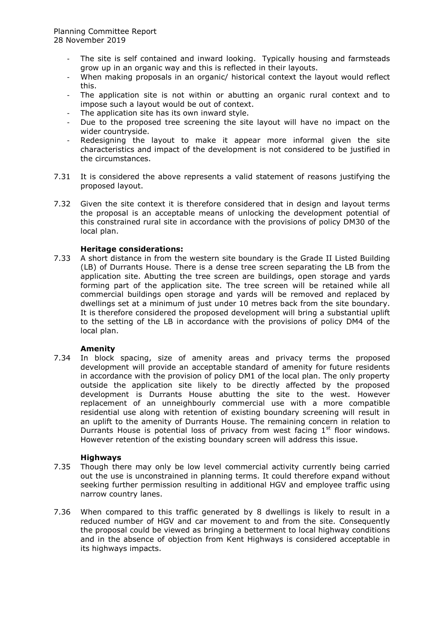- The site is self contained and inward looking. Typically housing and farmsteads grow up in an organic way and this is reflected in their layouts.
- When making proposals in an organic/ historical context the layout would reflect this.
- The application site is not within or abutting an organic rural context and to impose such a layout would be out of context.
- The application site has its own inward style.
- Due to the proposed tree screening the site layout will have no impact on the wider countryside.
- Redesigning the layout to make it appear more informal given the site characteristics and impact of the development is not considered to be justified in the circumstances.
- 7.31 It is considered the above represents a valid statement of reasons justifying the proposed layout.
- 7.32 Given the site context it is therefore considered that in design and layout terms the proposal is an acceptable means of unlocking the development potential of this constrained rural site in accordance with the provisions of policy DM30 of the local plan.

### **Heritage considerations:**

7.33 A short distance in from the western site boundary is the Grade II Listed Building (LB) of Durrants House. There is a dense tree screen separating the LB from the application site. Abutting the tree screen are buildings, open storage and yards forming part of the application site. The tree screen will be retained while all commercial buildings open storage and yards will be removed and replaced by dwellings set at a minimum of just under 10 metres back from the site boundary. It is therefore considered the proposed development will bring a substantial uplift to the setting of the LB in accordance with the provisions of policy DM4 of the local plan.

### **Amenity**

7.34 In block spacing, size of amenity areas and privacy terms the proposed development will provide an acceptable standard of amenity for future residents in accordance with the provision of policy DM1 of the local plan. The only property outside the application site likely to be directly affected by the proposed development is Durrants House abutting the site to the west. However replacement of an unneighbourly commercial use with a more compatible residential use along with retention of existing boundary screening will result in an uplift to the amenity of Durrants House. The remaining concern in relation to Durrants House is potential loss of privacy from west facing  $1<sup>st</sup>$  floor windows. However retention of the existing boundary screen will address this issue.

### **Highways**

- 7.35 Though there may only be low level commercial activity currently being carried out the use is unconstrained in planning terms. It could therefore expand without seeking further permission resulting in additional HGV and employee traffic using narrow country lanes.
- 7.36 When compared to this traffic generated by 8 dwellings is likely to result in a reduced number of HGV and car movement to and from the site. Consequently the proposal could be viewed as bringing a betterment to local highway conditions and in the absence of objection from Kent Highways is considered acceptable in its highways impacts.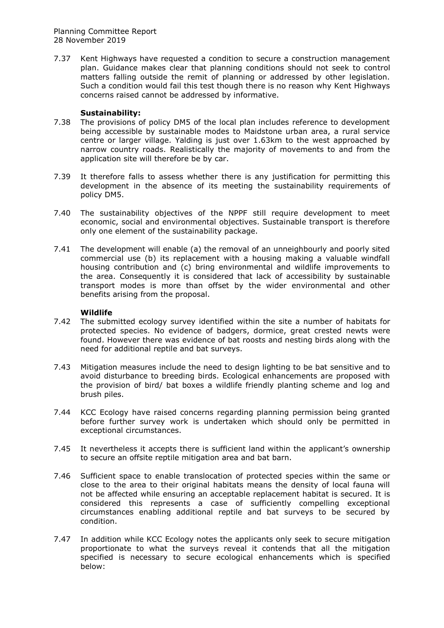7.37 Kent Highways have requested a condition to secure a construction management plan. Guidance makes clear that planning conditions should not seek to control matters falling outside the remit of planning or addressed by other legislation. Such a condition would fail this test though there is no reason why Kent Highways concerns raised cannot be addressed by informative.

### **Sustainability:**

- 7.38 The provisions of policy DM5 of the local plan includes reference to development being accessible by sustainable modes to Maidstone urban area, a rural service centre or larger village. Yalding is just over 1.63km to the west approached by narrow country roads. Realistically the majority of movements to and from the application site will therefore be by car.
- 7.39 It therefore falls to assess whether there is any justification for permitting this development in the absence of its meeting the sustainability requirements of policy DM5.
- 7.40 The sustainability objectives of the NPPF still require development to meet economic, social and environmental objectives. Sustainable transport is therefore only one element of the sustainability package.
- 7.41 The development will enable (a) the removal of an unneighbourly and poorly sited commercial use (b) its replacement with a housing making a valuable windfall housing contribution and (c) bring environmental and wildlife improvements to the area. Consequently it is considered that lack of accessibility by sustainable transport modes is more than offset by the wider environmental and other benefits arising from the proposal.

### **Wildlife**

- 7.42 The submitted ecology survey identified within the site a number of habitats for protected species. No evidence of badgers, dormice, great crested newts were found. However there was evidence of bat roosts and nesting birds along with the need for additional reptile and bat surveys.
- 7.43 Mitigation measures include the need to design lighting to be bat sensitive and to avoid disturbance to breeding birds. Ecological enhancements are proposed with the provision of bird/ bat boxes a wildlife friendly planting scheme and log and brush piles.
- 7.44 KCC Ecology have raised concerns regarding planning permission being granted before further survey work is undertaken which should only be permitted in exceptional circumstances.
- 7.45 It nevertheless it accepts there is sufficient land within the applicant's ownership to secure an offsite reptile mitigation area and bat barn.
- 7.46 Sufficient space to enable translocation of protected species within the same or close to the area to their original habitats means the density of local fauna will not be affected while ensuring an acceptable replacement habitat is secured. It is considered this represents a case of sufficiently compelling exceptional circumstances enabling additional reptile and bat surveys to be secured by condition.
- 7.47 In addition while KCC Ecology notes the applicants only seek to secure mitigation proportionate to what the surveys reveal it contends that all the mitigation specified is necessary to secure ecological enhancements which is specified below: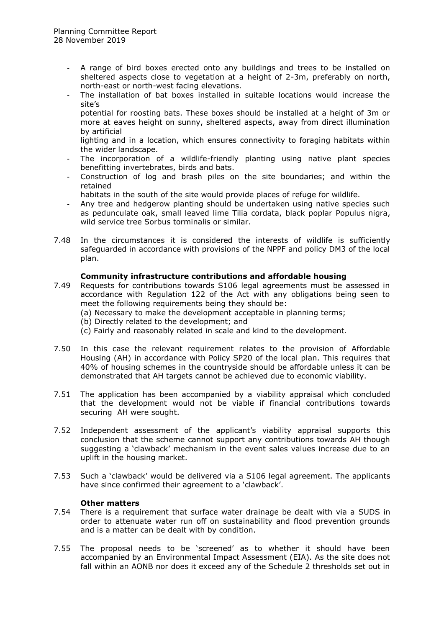- A range of bird boxes erected onto any buildings and trees to be installed on sheltered aspects close to vegetation at a height of 2-3m, preferably on north, north-east or north-west facing elevations.
- The installation of bat boxes installed in suitable locations would increase the site's
	- potential for roosting bats. These boxes should be installed at a height of 3m or more at eaves height on sunny, sheltered aspects, away from direct illumination by artificial
	- lighting and in a location, which ensures connectivity to foraging habitats within the wider landscape.
- The incorporation of a wildlife-friendly planting using native plant species benefitting invertebrates, birds and bats.
- Construction of log and brash piles on the site boundaries; and within the retained
- habitats in the south of the site would provide places of refuge for wildlife.
- Any tree and hedgerow planting should be undertaken using native species such as pedunculate oak, small leaved lime Tilia cordata, black poplar Populus nigra, wild service tree Sorbus torminalis or similar.
- 7.48 In the circumstances it is considered the interests of wildlife is sufficiently safeguarded in accordance with provisions of the NPPF and policy DM3 of the local plan.

### **Community infrastructure contributions and affordable housing**

- 7.49 Requests for contributions towards S106 legal agreements must be assessed in accordance with Regulation 122 of the Act with any obligations being seen to meet the following requirements being they should be:
	- (a) Necessary to make the development acceptable in planning terms;
	- (b) Directly related to the development; and
	- (c) Fairly and reasonably related in scale and kind to the development.
- 7.50 In this case the relevant requirement relates to the provision of Affordable Housing (AH) in accordance with Policy SP20 of the local plan. This requires that 40% of housing schemes in the countryside should be affordable unless it can be demonstrated that AH targets cannot be achieved due to economic viability.
- 7.51 The application has been accompanied by a viability appraisal which concluded that the development would not be viable if financial contributions towards securing AH were sought.
- 7.52 Independent assessment of the applicant's viability appraisal supports this conclusion that the scheme cannot support any contributions towards AH though suggesting a 'clawback' mechanism in the event sales values increase due to an uplift in the housing market.
- 7.53 Such a 'clawback' would be delivered via a S106 legal agreement. The applicants have since confirmed their agreement to a 'clawback'.

### **Other matters**

- 7.54 There is a requirement that surface water drainage be dealt with via a SUDS in order to attenuate water run off on sustainability and flood prevention grounds and is a matter can be dealt with by condition.
- 7.55 The proposal needs to be 'screened' as to whether it should have been accompanied by an Environmental Impact Assessment (EIA). As the site does not fall within an AONB nor does it exceed any of the Schedule 2 thresholds set out in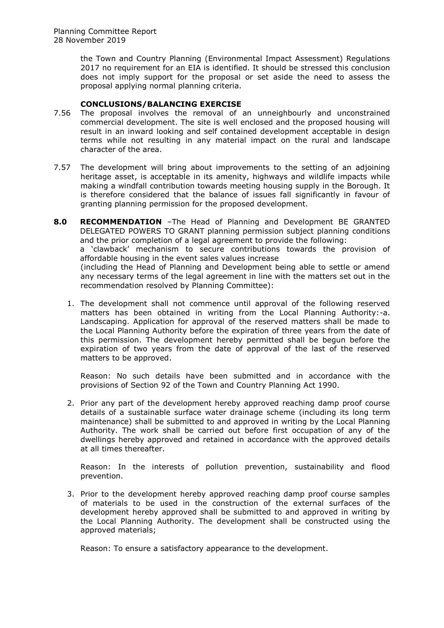the Town and Country Planning (Environmental Impact Assessment) Regulations 2017 no requirement for an EIA is identified. It should be stressed this conclusion does not imply support for the proposal or set aside the need to assess the proposal applying normal planning criteria.

### **CONCLUSIONS/BALANCING EXERCISE**

- 7.56 The proposal involves the removal of an unneighbourly and unconstrained commercial development. The site is well enclosed and the proposed housing will result in an inward looking and self contained development acceptable in design terms while not resulting in any material impact on the rural and landscape character of the area.
- 7.57 The development will bring about improvements to the setting of an adjoining heritage asset, is acceptable in its amenity, highways and wildlife impacts while making a windfall contribution towards meeting housing supply in the Borough. It is therefore considered that the balance of issues fall significantly in favour of granting planning permission for the proposed development.
- **8.0 RECOMMENDATION** –The Head of Planning and Development BE GRANTED DELEGATED POWERS TO GRANT planning permission subject planning conditions and the prior completion of a legal agreement to provide the following:

a 'clawback' mechanism to secure contributions towards the provision of affordable housing in the event sales values increase

(including the Head of Planning and Development being able to settle or amend any necessary terms of the legal agreement in line with the matters set out in the recommendation resolved by Planning Committee):

1. The development shall not commence until approval of the following reserved matters has been obtained in writing from the Local Planning Authority:-a. Landscaping. Application for approval of the reserved matters shall be made to the Local Planning Authority before the expiration of three years from the date of this permission. The development hereby permitted shall be begun before the expiration of two years from the date of approval of the last of the reserved matters to be approved.

Reason: No such details have been submitted and in accordance with the provisions of Section 92 of the Town and Country Planning Act 1990.

2. Prior any part of the development hereby approved reaching damp proof course details of a sustainable surface water drainage scheme (including its long term maintenance) shall be submitted to and approved in writing by the Local Planning Authority. The work shall be carried out before first occupation of any of the dwellings hereby approved and retained in accordance with the approved details at all times thereafter.

Reason: In the interests of pollution prevention, sustainability and flood prevention.

3. Prior to the development hereby approved reaching damp proof course samples of materials to be used in the construction of the external surfaces of the development hereby approved shall be submitted to and approved in writing by the Local Planning Authority. The development shall be constructed using the approved materials;

Reason: To ensure a satisfactory appearance to the development.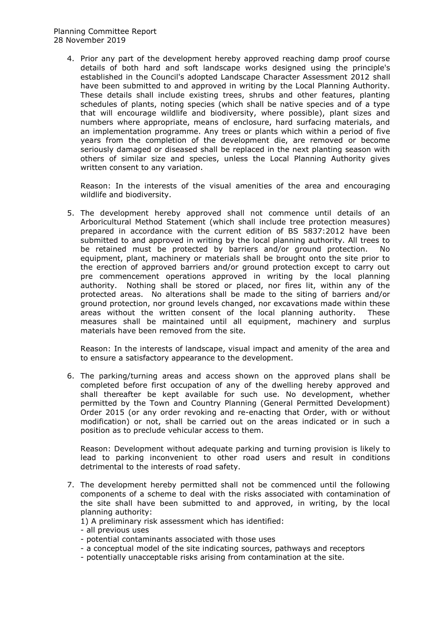4. Prior any part of the development hereby approved reaching damp proof course details of both hard and soft landscape works designed using the principle's established in the Council's adopted Landscape Character Assessment 2012 shall have been submitted to and approved in writing by the Local Planning Authority. These details shall include existing trees, shrubs and other features, planting schedules of plants, noting species (which shall be native species and of a type that will encourage wildlife and biodiversity, where possible), plant sizes and numbers where appropriate, means of enclosure, hard surfacing materials, and an implementation programme. Any trees or plants which within a period of five years from the completion of the development die, are removed or become seriously damaged or diseased shall be replaced in the next planting season with others of similar size and species, unless the Local Planning Authority gives written consent to any variation.

Reason: In the interests of the visual amenities of the area and encouraging wildlife and biodiversity.

5. The development hereby approved shall not commence until details of an Arboricultural Method Statement (which shall include tree protection measures) prepared in accordance with the current edition of BS 5837:2012 have been submitted to and approved in writing by the local planning authority. All trees to be retained must be protected by barriers and/or ground protection. No equipment, plant, machinery or materials shall be brought onto the site prior to the erection of approved barriers and/or ground protection except to carry out pre commencement operations approved in writing by the local planning authority. Nothing shall be stored or placed, nor fires lit, within any of the protected areas. No alterations shall be made to the siting of barriers and/or ground protection, nor ground levels changed, nor excavations made within these areas without the written consent of the local planning authority. These measures shall be maintained until all equipment, machinery and surplus materials have been removed from the site.

Reason: In the interests of landscape, visual impact and amenity of the area and to ensure a satisfactory appearance to the development.

6. The parking/turning areas and access shown on the approved plans shall be completed before first occupation of any of the dwelling hereby approved and shall thereafter be kept available for such use. No development, whether permitted by the Town and Country Planning (General Permitted Development) Order 2015 (or any order revoking and re-enacting that Order, with or without modification) or not, shall be carried out on the areas indicated or in such a position as to preclude vehicular access to them.

Reason: Development without adequate parking and turning provision is likely to lead to parking inconvenient to other road users and result in conditions detrimental to the interests of road safety.

- 7. The development hereby permitted shall not be commenced until the following components of a scheme to deal with the risks associated with contamination of the site shall have been submitted to and approved, in writing, by the local planning authority:
	- 1) A preliminary risk assessment which has identified:
	- all previous uses
	- potential contaminants associated with those uses
	- a conceptual model of the site indicating sources, pathways and receptors
	- potentially unacceptable risks arising from contamination at the site.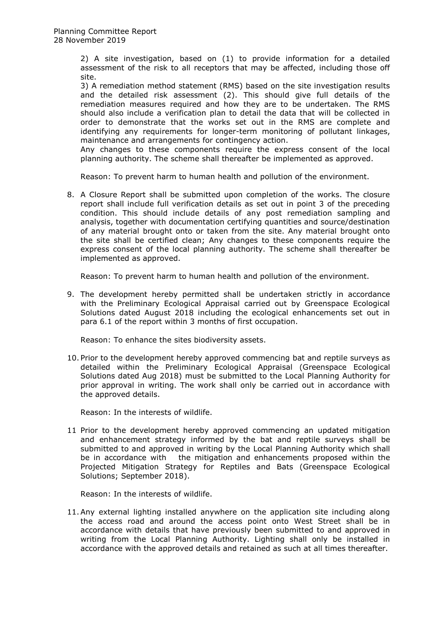2) A site investigation, based on (1) to provide information for a detailed assessment of the risk to all receptors that may be affected, including those off site.

3) A remediation method statement (RMS) based on the site investigation results and the detailed risk assessment (2). This should give full details of the remediation measures required and how they are to be undertaken. The RMS should also include a verification plan to detail the data that will be collected in order to demonstrate that the works set out in the RMS are complete and identifying any requirements for longer-term monitoring of pollutant linkages, maintenance and arrangements for contingency action.

Any changes to these components require the express consent of the local planning authority. The scheme shall thereafter be implemented as approved.

Reason: To prevent harm to human health and pollution of the environment.

8. A Closure Report shall be submitted upon completion of the works. The closure report shall include full verification details as set out in point 3 of the preceding condition. This should include details of any post remediation sampling and analysis, together with documentation certifying quantities and source/destination of any material brought onto or taken from the site. Any material brought onto the site shall be certified clean; Any changes to these components require the express consent of the local planning authority. The scheme shall thereafter be implemented as approved.

Reason: To prevent harm to human health and pollution of the environment.

9. The development hereby permitted shall be undertaken strictly in accordance with the Preliminary Ecological Appraisal carried out by Greenspace Ecological Solutions dated August 2018 including the ecological enhancements set out in para 6.1 of the report within 3 months of first occupation.

Reason: To enhance the sites biodiversity assets.

10. Prior to the development hereby approved commencing bat and reptile surveys as detailed within the Preliminary Ecological Appraisal (Greenspace Ecological Solutions dated Aug 2018) must be submitted to the Local Planning Authority for prior approval in writing. The work shall only be carried out in accordance with the approved details.

Reason: In the interests of wildlife.

11 Prior to the development hereby approved commencing an updated mitigation and enhancement strategy informed by the bat and reptile surveys shall be submitted to and approved in writing by the Local Planning Authority which shall be in accordance with the mitigation and enhancements proposed within the Projected Mitigation Strategy for Reptiles and Bats (Greenspace Ecological Solutions; September 2018).

Reason: In the interests of wildlife.

11.Any external lighting installed anywhere on the application site including along the access road and around the access point onto West Street shall be in accordance with details that have previously been submitted to and approved in writing from the Local Planning Authority. Lighting shall only be installed in accordance with the approved details and retained as such at all times thereafter.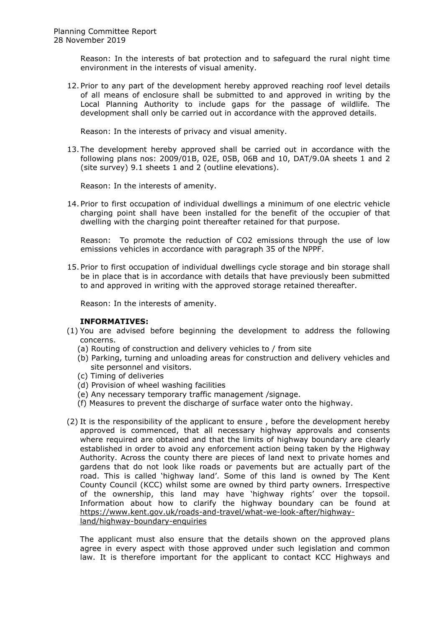Reason: In the interests of bat protection and to safeguard the rural night time environment in the interests of visual amenity.

12. Prior to any part of the development hereby approved reaching roof level details of all means of enclosure shall be submitted to and approved in writing by the Local Planning Authority to include gaps for the passage of wildlife. The development shall only be carried out in accordance with the approved details.

Reason: In the interests of privacy and visual amenity.

13. The development hereby approved shall be carried out in accordance with the following plans nos: 2009/01B, 02E, 05B, 06B and 10, DAT/9.0A sheets 1 and 2 (site survey) 9.1 sheets 1 and 2 (outline elevations).

Reason: In the interests of amenity.

14. Prior to first occupation of individual dwellings a minimum of one electric vehicle charging point shall have been installed for the benefit of the occupier of that dwelling with the charging point thereafter retained for that purpose.

Reason: To promote the reduction of CO2 emissions through the use of low emissions vehicles in accordance with paragraph 35 of the NPPF.

15. Prior to first occupation of individual dwellings cycle storage and bin storage shall be in place that is in accordance with details that have previously been submitted to and approved in writing with the approved storage retained thereafter.

Reason: In the interests of amenity.

### **INFORMATIVES:**

- (1) You are advised before beginning the development to address the following concerns.
	- (a) Routing of construction and delivery vehicles to / from site
	- (b) Parking, turning and unloading areas for construction and delivery vehicles and site personnel and visitors.
	- (c) Timing of deliveries
	- (d) Provision of wheel washing facilities
	- (e) Any necessary temporary traffic management /signage.
	- (f) Measures to prevent the discharge of surface water onto the highway.
- (2) It is the responsibility of the applicant to ensure , before the development hereby approved is commenced, that all necessary highway approvals and consents where required are obtained and that the limits of highway boundary are clearly established in order to avoid any enforcement action being taken by the Highway Authority. Across the county there are pieces of land next to private homes and gardens that do not look like roads or pavements but are actually part of the road. This is called 'highway land'. Some of this land is owned by The Kent County Council (KCC) whilst some are owned by third party owners. Irrespective of the ownership, this land may have 'highway rights' over the topsoil. Information about how to clarify the highway boundary can be found at [https://www.kent.gov.uk/roads-and-travel/what-we-look-after/highway](https://www.kent.gov.uk/roads-and-travel/what-we-look-after/highway-land/highway-boundary-enquiries)[land/highway-boundary-enquiries](https://www.kent.gov.uk/roads-and-travel/what-we-look-after/highway-land/highway-boundary-enquiries)

The applicant must also ensure that the details shown on the approved plans agree in every aspect with those approved under such legislation and common law. It is therefore important for the applicant to contact KCC Highways and